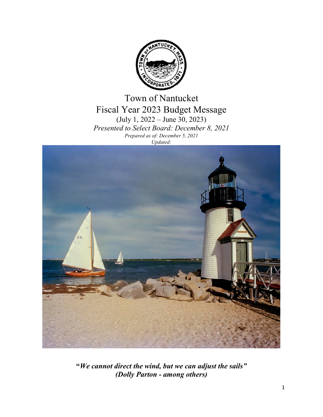

Town of Nantucket Fiscal Year 2023 Budget Message (July 1, 2022 – June 30, 2023) *Presented to Select Board: December 8, 2021 Prepared as of: December 5, 2021 Updated:*



**"***We cannot direct the wind, but we can adjust the sails" (Dolly Parton - among others)*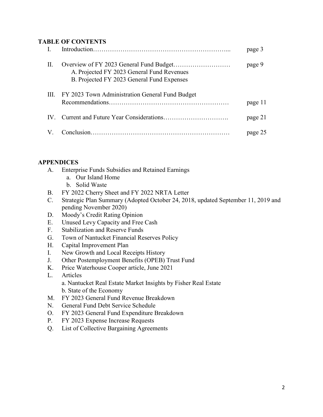## **TABLE OF CONTENTS**

|     |                                                                                          | page 3  |
|-----|------------------------------------------------------------------------------------------|---------|
| II. | A. Projected FY 2023 General Fund Revenues<br>B. Projected FY 2023 General Fund Expenses | page 9  |
|     | III. FY 2023 Town Administration General Fund Budget                                     | page 11 |
|     |                                                                                          | page 21 |
| V.  |                                                                                          | page 25 |

## **APPENDICES**

- A. Enterprise Funds Subsidies and Retained Earnings
	- a. Our Island Home
	- b. Solid Waste
- B. FY 2022 Cherry Sheet and FY 2022 NRTA Letter
- C. Strategic Plan Summary (Adopted October 24, 2018, updated September 11, 2019 and pending November 2020)
- D. Moody's Credit Rating Opinion
- E. Unused Levy Capacity and Free Cash
- F. Stabilization and Reserve Funds
- G. Town of Nantucket Financial Reserves Policy
- H. Capital Improvement Plan
- I. New Growth and Local Receipts History
- J. Other Postemployment Benefits (OPEB) Trust Fund
- K. Price Waterhouse Cooper article, June 2021
- L. Articles a. Nantucket Real Estate Market Insights by Fisher Real Estate b. State of the Economy
- M. FY 2023 General Fund Revenue Breakdown
- N. General Fund Debt Service Schedule
- O. FY 2023 General Fund Expenditure Breakdown
- P. FY 2023 Expense Increase Requests
- Q. List of Collective Bargaining Agreements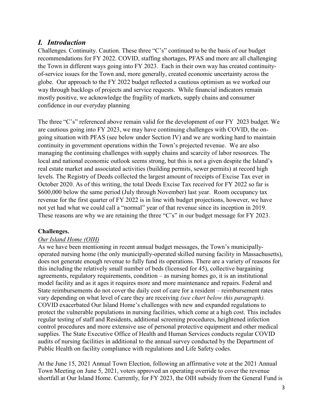## *I. Introduction*

Challenges. Continuity. Caution. These three "C's" continued to be the basis of our budget recommendations for FY 2022. COVID, staffing shortages, PFAS and more are all challenging the Town in different ways going into FY 2023. Each in their own way has created continuityof-service issues for the Town and, more generally, created economic uncertainty across the globe. Our approach to the FY 2022 budget reflected a cautious optimism as we worked our way through backlogs of projects and service requests. While financial indicators remain mostly positive, we acknowledge the fragility of markets, supply chains and consumer confidence in our everyday planning

The three "C's" referenced above remain valid for the development of our FY 2023 budget. We are cautious going into FY 2023, we may have continuing challenges with COVID, the ongoing situation with PFAS (see below under Section IV) and we are working hard to maintain continuity in government operations within the Town's projected revenue. We are also managing the continuing challenges with supply chains and scarcity of labor resources. The local and national economic outlook seems strong, but this is not a given despite the Island's real estate market and associated activities (building permits, sewer permits) at record high levels. The Registry of Deeds collected the largest amount of receipts of Excise Tax ever in October 2020. As of this writing, the total Deeds Excise Tax received for FY 2022 so far is \$600,000 below the same period (July through November) last year. Room occupancy tax revenue for the first quarter of FY 2022 is in line with budget projections, however, we have not yet had what we could call a "normal" year of that revenue since its inception in 2019. These reasons are why we are retaining the three "C's" in our budget message for FY 2023.

## **Challenges.**

## *Our Island Home (OIH)*

As we have been mentioning in recent annual budget messages, the Town's municipallyoperated nursing home (the only municipally-operated skilled nursing facility in Massachusetts), does not generate enough revenue to fully fund its operations. There are a variety of reasons for this including the relatively small number of beds (licensed for 45), collective bargaining agreements, regulatory requirements, condition – as nursing homes go, it is an institutional model facility and as it ages it requires more and more maintenance and repairs. Federal and State reimbursements do not cover the daily cost of care for a resident – reimbursement rates vary depending on what level of care they are receiving *(see chart below this paragraph).* COVID exacerbated Our Island Home's challenges with new and expanded regulations to protect the vulnerable populations in nursing facilities, which come at a high cost. This includes regular testing of staff and Residents, additional screening procedures, heightened infection control procedures and more extensive use of personal protective equipment and other medical supplies. The State Executive Office of Health and Human Services conducts regular COVID audits of nursing facilities in additional to the annual survey conducted by the Department of Public Health on facility compliance with regulations and Life Safety codes.

At the June 15, 2021 Annual Town Election, following an affirmative vote at the 2021 Annual Town Meeting on June 5, 2021, voters approved an operating override to cover the revenue shortfall at Our Island Home. Currently, for FY 2023, the OIH subsidy from the General Fund is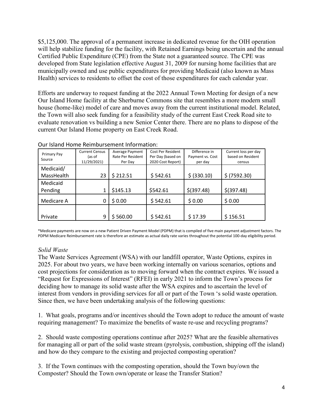\$5,125,000. The approval of a permanent increase in dedicated revenue for the OIH operation will help stabilize funding for the facility, with Retained Earnings being uncertain and the annual Certified Public Expenditure (CPE) from the State not a guaranteed source. The CPE was developed from State legislation effective August 31, 2009 for nursing home facilities that are municipally owned and use public expenditures for providing Medicaid (also known as Mass Health) services to residents to offset the cost of those expenditures for each calendar year.

Efforts are underway to request funding at the 2022 Annual Town Meeting for design of a new Our Island Home facility at the Sherburne Commons site that resembles a more modern small house (home-like) model of care and moves away from the current institutional model. Related, the Town will also seek funding for a feasibility study of the current East Creek Road site to evaluate renovation vs building a new Senior Center there. There are no plans to dispose of the current Our Island Home property on East Creek Road.

| Primary Pay | <b>Current Census</b> | Average Payment   | Cost Per Resident | Difference in    | Current loss per day |
|-------------|-----------------------|-------------------|-------------------|------------------|----------------------|
|             | (as of                | Rate Per Resident | Per Day (based on | Payment vs. Cost | based on Resident    |
| Source      | 11/29/2021)           | Per Day           | 2020 Cost Report) | per day          | census               |
| Medicaid/   |                       |                   |                   |                  |                      |
| MassHealth  | 23                    | \$212.51          | \$542.61          | \$ (330.10)      | \$ (7592.30)         |
| Medicaid    |                       |                   |                   |                  |                      |
| Pending     |                       | \$145.13          | \$542.61          | $$$ (397.48)     | $$$ (397.48)         |
| Medicare A  | 0                     | \$0.00            | \$542.61          | \$0.00           | \$0.00               |
|             |                       |                   |                   |                  |                      |
|             |                       |                   |                   |                  |                      |
| Private     | 9                     | \$560.00          | \$542.61          | \$17.39          | \$156.51             |

#### Our Island Home Reimbursement Information:

\*Medicare payments are now on a new Patient Driven Payment Model (PDPM) that is compiled of five main payment adjustment factors. The PDPM Medicare Reimbursement rate is therefore an estimate as actual daily rate varies throughout the potential 100-day eligibility period.

#### *Solid Waste*

The Waste Services Agreement (WSA) with our landfill operator, Waste Options, expires in 2025. For about two years, we have been working internally on various scenarios, options and cost projections for consideration as to moving forward when the contract expires. We issued a "Request for Expressions of Interest" (RFEI) in early 2021 to inform the Town's process for deciding how to manage its solid waste after the WSA expires and to ascertain the level of interest from vendors in providing services for all or part of the Town 's solid waste operation. Since then, we have been undertaking analysis of the following questions:

1. What goals, programs and/or incentives should the Town adopt to reduce the amount of waste requiring management? To maximize the benefits of waste re-use and recycling programs?

2. Should waste composting operations continue after 2025? What are the feasible alternatives for managing all or part of the solid waste stream (pyrolysis, combustion, shipping off the island) and how do they compare to the existing and projected composting operation?

3. If the Town continues with the composting operation, should the Town buy/own the Composter? Should the Town own/operate or lease the Transfer Station?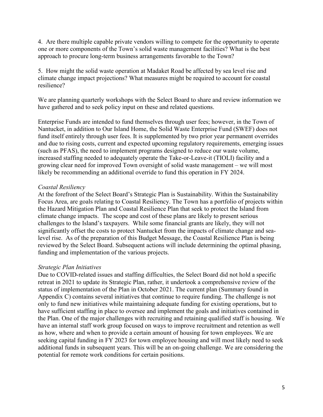4. Are there multiple capable private vendors willing to compete for the opportunity to operate one or more components of the Town's solid waste management facilities? What is the best approach to procure long-term business arrangements favorable to the Town?

5. How might the solid waste operation at Madaket Road be affected by sea level rise and climate change impact projections? What measures might be required to account for coastal resilience?

We are planning quarterly workshops with the Select Board to share and review information we have gathered and to seek policy input on these and related questions.

Enterprise Funds are intended to fund themselves through user fees; however, in the Town of Nantucket, in addition to Our Island Home, the Solid Waste Enterprise Fund (SWEF) does not fund itself entirely through user fees. It is supplemented by two prior year permanent overrides and due to rising costs, current and expected upcoming regulatory requirements, emerging issues (such as PFAS), the need to implement programs designed to reduce our waste volume, increased staffing needed to adequately operate the Take-or-Leave-it (TIOLI) facility and a growing clear need for improved Town oversight of solid waste management – we will most likely be recommending an additional override to fund this operation in FY 2024.

## *Coastal Resiliency*

At the forefront of the Select Board's Strategic Plan is Sustainability. Within the Sustainability Focus Area, are goals relating to Coastal Resiliency. The Town has a portfolio of projects within the Hazard Mitigation Plan and Coastal Resilience Plan that seek to protect the Island from climate change impacts. The scope and cost of these plans are likely to present serious challenges to the Island's taxpayers. While some financial grants are likely, they will not significantly offset the costs to protect Nantucket from the impacts of climate change and sealevel rise. As of the preparation of this Budget Message, the Coastal Resilience Plan is being reviewed by the Select Board. Subsequent actions will include determining the optimal phasing, funding and implementation of the various projects.

## *Strategic Plan Initiatives*

Due to COVID-related issues and staffing difficulties, the Select Board did not hold a specific retreat in 2021 to update its Strategic Plan, rather, it undertook a comprehensive review of the status of implementation of the Plan in October 2021. The current plan (Summary found in Appendix C) contains several initiatives that continue to require funding. The challenge is not only to fund new initiatives while maintaining adequate funding for existing operations, but to have sufficient staffing in place to oversee and implement the goals and initiatives contained in the Plan. One of the major challenges with recruiting and retaining qualified staff is housing. We have an internal staff work group focused on ways to improve recruitment and retention as well as how, where and when to provide a certain amount of housing for town employees. We are seeking capital funding in FY 2023 for town employee housing and will most likely need to seek additional funds in subsequent years. This will be an on-going challenge. We are considering the potential for remote work conditions for certain positions.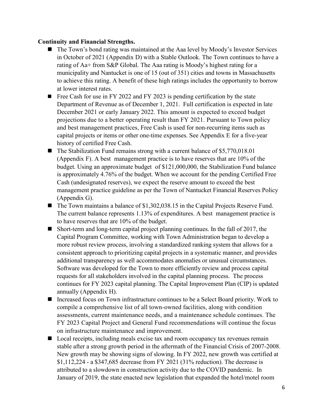#### **Continuity and Financial Strengths.**

- The Town's bond rating was maintained at the Aaa level by Moody's Investor Services in October of 2021 (Appendix D) with a Stable Outlook. The Town continues to have a rating of Aa+ from S&P Global. The Aaa rating is Moody's highest rating for a municipality and Nantucket is one of 15 (out of 351) cities and towns in Massachusetts to achieve this rating. A benefit of these high ratings includes the opportunity to borrow at lower interest rates.
- Free Cash for use in FY 2022 and FY 2023 is pending certification by the state Department of Revenue as of December 1, 2021. Full certification is expected in late December 2021 or early January 2022. This amount is expected to exceed budget projections due to a better operating result than FY 2021. Pursuant to Town policy and best management practices, Free Cash is used for non-recurring items such as capital projects or items or other one-time expenses. See Appendix E for a five-year history of certified Free Cash.
- $\blacksquare$  The Stabilization Fund remains strong with a current balance of \$5,770,018.01 (Appendix F). A best management practice is to have reserves that are 10% of the budget. Using an approximate budget of \$121,000,000, the Stabilization Fund balance is approximately 4.76% of the budget. When we account for the pending Certified Free Cash (undesignated reserves), we expect the reserve amount to exceed the best management practice guideline as per the Town of Nantucket Financial Reserves Policy (Appendix G).
- The Town maintains a balance of \$1,302,038.15 in the Capital Projects Reserve Fund. The current balance represents 1.13% of expenditures. A best management practice is to have reserves that are 10% of the budget.
- Short-term and long-term capital project planning continues. In the fall of 2017, the Capital Program Committee, working with Town Administration began to develop a more robust review process, involving a standardized ranking system that allows for a consistent approach to prioritizing capital projects in a systematic manner, and provides additional transparency as well accommodates anomalies or unusual circumstances. Software was developed for the Town to more efficiently review and process capital requests for all stakeholders involved in the capital planning process. The process continues for FY 2023 capital planning. The Capital Improvement Plan (CIP) is updated annually (Appendix H).
- Increased focus on Town infrastructure continues to be a Select Board priority. Work to compile a comprehensive list of all town-owned facilities, along with condition assessments, current maintenance needs, and a maintenance schedule continues. The FY 2023 Capital Project and General Fund recommendations will continue the focus on infrastructure maintenance and improvement.
- Local receipts, including meals excise tax and room occupancy tax revenues remain stable after a strong growth period in the aftermath of the Financial Crisis of 2007-2008. New growth may be showing signs of slowing. In FY 2022, new growth was certified at \$1,112,224 - a \$347,685 decrease from FY 2021 (31% reduction). The decrease is attributed to a slowdown in construction activity due to the COVID pandemic. In January of 2019, the state enacted new legislation that expanded the hotel/motel room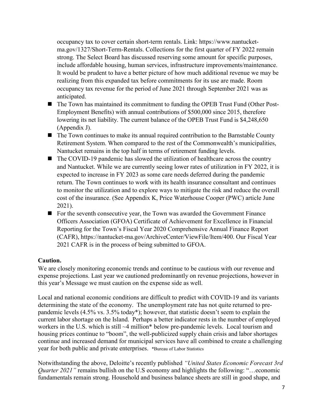occupancy tax to cover certain short-term rentals. Link: https://www.nantucketma.gov/1327/Short-Term-Rentals. Collections for the first quarter of FY 2022 remain strong. The Select Board has discussed reserving some amount for specific purposes, include affordable housing, human services, infrastructure improvements/maintenance. It would be prudent to have a better picture of how much additional revenue we may be realizing from this expanded tax before commitments for its use are made. Room occupancy tax revenue for the period of June 2021 through September 2021 was as anticipated.

- The Town has maintained its commitment to funding the OPEB Trust Fund (Other Post-Employment Benefits) with annual contributions of \$500,000 since 2015, therefore lowering its net liability. The current balance of the OPEB Trust Fund is \$4,248,650 (Appendix J).
- The Town continues to make its annual required contribution to the Barnstable County Retirement System. When compared to the rest of the Commonwealth's municipalities, Nantucket remains in the top half in terms of retirement funding levels.
- The COVID-19 pandemic has slowed the utilization of healthcare across the country and Nantucket. While we are currently seeing lower rates of utilization in FY 2022, it is expected to increase in FY 2023 as some care needs deferred during the pandemic return. The Town continues to work with its health insurance consultant and continues to monitor the utilization and to explore ways to mitigate the risk and reduce the overall cost of the insurance. (See Appendix K, Price Waterhouse Cooper (PWC) article June 2021).
- For the seventh consecutive year, the Town was awarded the Government Finance Officers Association (GFOA) Certificate of Achievement for Excellence in Financial Reporting for the Town's Fiscal Year 2020 Comprehensive Annual Finance Report (CAFR), https://nantucket-ma.gov/ArchiveCenter/ViewFile/Item/400. Our Fiscal Year 2021 CAFR is in the process of being submitted to GFOA.

## **Caution.**

We are closely monitoring economic trends and continue to be cautious with our revenue and expense projections. Last year we cautioned predominantly on revenue projections, however in this year's Message we must caution on the expense side as well.

Local and national economic conditions are difficult to predict with COVID-19 and its variants determining the state of the economy. The unemployment rate has not quite returned to prepandemic levels (4.5% vs. 3.5% today\*); however, that statistic doesn't seem to explain the current labor shortage on the Island. Perhaps a better indicator rests in the number of employed workers in the U.S. which is still ~4 million\* below pre-pandemic levels. Local tourism and housing prices continue to "boom", the well-publicized supply chain crisis and labor shortages continue and increased demand for municipal services have all combined to create a challenging year for both public and private enterprises. \*Bureau of Labor Statistics

Notwithstanding the above, Deloitte's recently published *"United States Economic Forecast 3rd Quarter 2021"* remains bullish on the U.S economy and highlights the following: "...economic fundamentals remain strong. Household and business balance sheets are still in good shape, and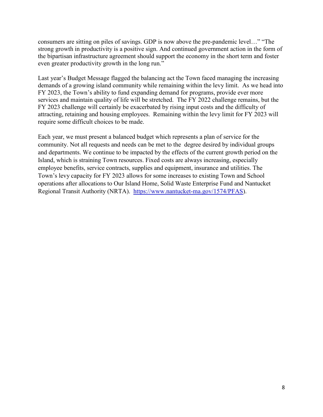consumers are sitting on piles of savings. GDP is now above the pre-pandemic level…" "The strong growth in productivity is a positive sign. And continued government action in the form of the bipartisan infrastructure agreement should support the economy in the short term and foster even greater productivity growth in the long run."

Last year's Budget Message flagged the balancing act the Town faced managing the increasing demands of a growing island community while remaining within the levy limit. As we head into FY 2023, the Town's ability to fund expanding demand for programs, provide ever more services and maintain quality of life will be stretched. The FY 2022 challenge remains, but the FY 2023 challenge will certainly be exacerbated by rising input costs and the difficulty of attracting, retaining and housing employees. Remaining within the levy limit for FY 2023 will require some difficult choices to be made.

Each year, we must present a balanced budget which represents a plan of service for the community. Not all requests and needs can be met to the degree desired by individual groups and departments. We continue to be impacted by the effects of the current growth period on the Island, which is straining Town resources. Fixed costs are always increasing, especially employee benefits, service contracts, supplies and equipment, insurance and utilities. The Town's levy capacity for FY 2023 allows for some increases to existing Town and School operations after allocations to Our Island Home, Solid Waste Enterprise Fund and Nantucket Regional Transit Authority (NRTA). [https://www.nantucket-ma.gov/1574/PFAS\)](https://www.nantucket-ma.gov/1574/PFAS).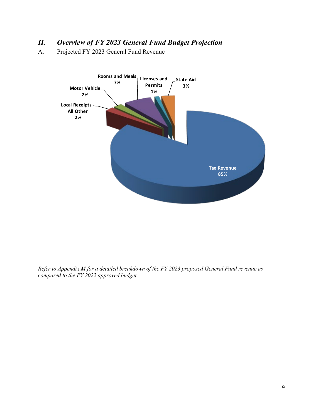# *II. Overview of FY 2023 General Fund Budget Projection*

A. Projected FY 2023 General Fund Revenue



*Refer to Appendix M for a detailed breakdown of the FY 2023 proposed General Fund revenue as compared to the FY 2022 approved budget.*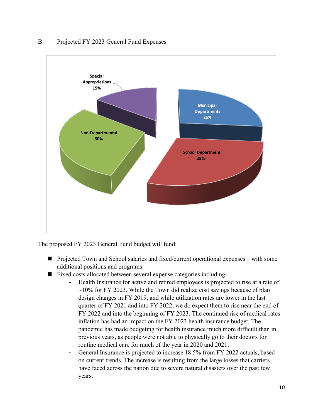#### B. Projected FY 2023 General Fund Expenses



The proposed FY 2023 General Fund budget will fund:

- **Projected Town and School salaries and fixed/current operational expenses** with some additional positions and programs.
- Fixed costs allocated between several expense categories including:
	- Health Insurance for active and retired employees is projected to rise at a rate of  $\sim$ 10% for FY 2023. While the Town did realize cost savings because of plan design changes in FY 2019, and while utilization rates are lower in the last quarter of FY 2021 and into FY 2022, we do expect them to rise near the end of FY 2022 and into the beginning of FY 2023. The continued rise of medical rates inflation has had an impact on the FY 2023 health insurance budget. The pandemic has made budgeting for health insurance much more difficult than in previous years, as people were not able to physically go to their doctors for routine medical care for much of the year in 2020 and 2021.
	- General Insurance is projected to increase 18.5% from FY 2022 actuals, based on current trends. The increase is resulting from the large losses that carriers have faced across the nation due to severe natural disasters over the past few years.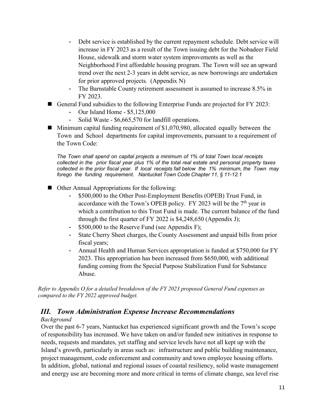- Debt service is established by the current repayment schedule. Debt service will increase in FY 2023 as a result of the Town issuing debt for the Nobadeer Field House, sidewalk and storm water system improvements as well as the Neighborhood First affordable housing program. The Town will see an upward trend over the next 2-3 years in debt service, as new borrowings are undertaken for prior approved projects. (Appendix N)
- The Barnstable County retirement assessment is assumed to increase 8.5% in FY 2023.
- General Fund subsidies to the following Enterprise Funds are projected for FY 2023:
	- Our Island Home \$5,125,000
	- Solid Waste \$6,665,570 for landfill operations.
- $\blacksquare$  Minimum capital funding requirement of \$1,070,980, allocated equally between the Town and School departments for capital improvements, pursuant to a requirement of the Town Code:

*The Town shall spend on capital projects a minimum of 1% of total Town local receipts collected in the prior fiscal year plus 1% of the total real estate and personal property taxes collected in the prior fiscal year. If local receipts fall below the 1% minimum, the Town may forego the funding requirement. Nantucket Town Code Chapter 11, § 11-12.1*

- Other Annual Appropriations for the following:
	- \$500,000 to the Other Post-Employment Benefits (OPEB) Trust Fund, in accordance with the Town's OPEB policy. FY 2023 will be the  $7<sup>th</sup>$  year in which a contribution to this Trust Fund is made. The current balance of the fund through the first quarter of FY 2022 is \$4,248,650 (Appendix J);
	- \$500,000 to the Reserve Fund (see Appendix F);
	- State Cherry Sheet charges, the County Assessment and unpaid bills from prior fiscal years;
	- Annual Health and Human Services appropriation is funded at \$750,000 for FY 2023. This appropriation has been increased from \$650,000, with additional funding coming from the Special Purpose Stabilization Fund for Substance Abuse.

*Refer to Appendix O for a detailed breakdown of the FY 2023 proposed General Fund expenses as compared to the FY 2022 approved budget.*

## *III. Town Administration Expense Increase Recommendations*

## *Background*

Over the past 6-7 years, Nantucket has experienced significant growth and the Town's scope of responsibility has increased. We have taken on and/or funded new initiatives in response to needs, requests and mandates, yet staffing and service levels have not all kept up with the Island's growth, particularly in areas such as: infrastructure and public building maintenance, project management, code enforcement and community and town employee housing efforts. In addition, global, national and regional issues of coastal resiliency, solid waste management and energy use are becoming more and more critical in terms of climate change, sea level rise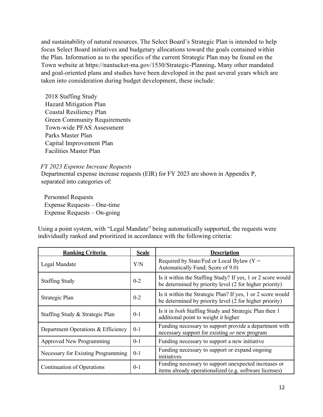and sustainability of natural resources. The Select Board's Strategic Plan is intended to help focus Select Board initiatives and budgetary allocations toward the goals contained within the Plan. Information as to the specifics of the current Strategic Plan may be found on the Town website at https://nantucket-ma.gov/1530/Strategic-Planning**.** Many other mandated and goal-oriented plans and studies have been developed in the past several years which are taken into consideration during budget development, these include:

2018 Staffing Study Hazard Mitigation Plan Coastal Resiliency Plan Green Community Requirements Town-wide PFAS Assessment Parks Master Plan Capital Improvement Plan Facilities Master Plan

#### *FY 2023 Expense Increase Requests*

Departmental expense increase requests (EIR) for FY 2023 are shown in Appendix P, separated into categories of:

 Personnel Requests Expense Requests – One-time Expense Requests – On-going

Using a point system, with "Legal Mandate" being automatically supported, the requests were individually ranked and prioritized in accordance with the following criteria:

| <b>Ranking Criteria</b>            | <b>Scale</b> | <b>Description</b>                                                                                                     |
|------------------------------------|--------------|------------------------------------------------------------------------------------------------------------------------|
| Legal Mandate                      | Y/N          | Required by State/Fed or Local Bylaw ( $Y =$<br>Automatically Fund; Score of 9.0)                                      |
| <b>Staffing Study</b>              | $0 - 2$      | Is it within the Staffing Study? If yes, 1 or 2 score would<br>be determined by priority level (2 for higher priority) |
| Strategic Plan                     | $0 - 2$      | Is it within the Strategic Plan? If yes, 1 or 2 score would<br>be determined by priority level (2 for higher priority) |
| Staffing Study & Strategic Plan    | $0-1$        | Is it in both Staffing Study and Strategic Plan then 1<br>additional point to weight it higher                         |
| Department Operations & Efficiency | $0 - 1$      | Funding necessary to support provide a department with<br>necessary support for existing or new program                |
| <b>Approved New Programming</b>    | $0-1$        | Funding necessary to support a new initiative                                                                          |
| Necessary for Existing Programming | $0-1$        | Funding necessary to support or expand ongoing<br>initiatives                                                          |
| Continuation of Operations         | $0-1$        | Funding necessary to support unexpected increases or<br>items already operationalized (e.g. software licenses)         |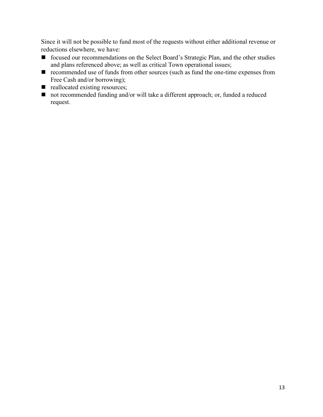Since it will not be possible to fund most of the requests without either additional revenue or reductions elsewhere, we have:

- focused our recommendations on the Select Board's Strategic Plan, and the other studies and plans referenced above; as well as critical Town operational issues;
- recommended use of funds from other sources (such as fund the one-time expenses from Free Cash and/or borrowing);
- reallocated existing resources;
- not recommended funding and/or will take a different approach; or, funded a reduced request.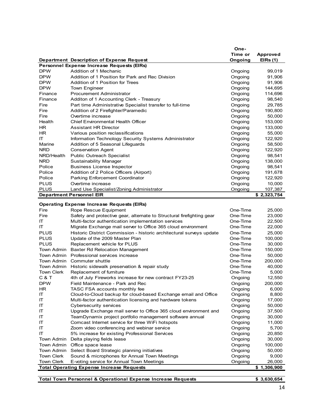|             |                                                           | One-    |             |
|-------------|-----------------------------------------------------------|---------|-------------|
|             |                                                           | Time or | Approved    |
|             | Department Description of Expense Request                 | Ongoing | EIRs(1)     |
|             | Personnel Expense Increase Requests (EIRs)                |         |             |
| <b>DPW</b>  | Addition of 1 Mechanic                                    | Ongoing | 99,019      |
| <b>DPW</b>  | Addition of 1 Position for Park and Rec Division          | Ongoing | 91,906      |
| <b>DPW</b>  | Addition of 1 Position for Trees                          | Ongoing | 91,906      |
| <b>DPW</b>  | <b>Town Engineer</b>                                      | Ongoing | 144,695     |
| Finance     | <b>Procurement Administrator</b>                          | Ongoing | 114,696     |
| Finance     | Additon of 1 Accounting Clerk - Treasury                  | Ongoing | 98,540      |
| Fire        | Part time Administrative Specialist transfer to full-time | Ongoing | 29,785      |
| Fire        | Addition of 2 Firefighter/Paramedic                       | Ongoing | 190,800     |
| Fire        | Overtime increase                                         | Ongoing | 50,000      |
| Health      | <b>Chief Environmental Health Officer</b>                 | Ongoing | 153,000     |
| HR.         | <b>Assistant HR Director</b>                              | Ongoing | 133,000     |
| HR.         | Various position reclassifications                        | Ongoing | 55,000      |
| IT          | Information Technology Security Systems Administrator     | Ongoing | 122,920     |
| Marine      | Addition of 5 Seasonal Lifeguards                         | Ongoing | 58,500      |
| <b>NRD</b>  | <b>Conservation Agent</b>                                 | Ongoing | 122,920     |
| NRD/Health  | <b>Public Outreach Specialist</b>                         | Ongoing | 98,541      |
| <b>NRD</b>  | <b>Sustainability Manager</b>                             | Ongoing | 138,000     |
| Police      | <b>Business License Inspector</b>                         | Ongoing | 98,541      |
| Police      | Addition of 2 Police Officers (Airport)                   | Ongoing | 191,678     |
| Police      | <b>Parking Enforcement Coordinator</b>                    | Ongoing | 122,920     |
| <b>PLUS</b> | Overtime increase                                         | Ongoing | 10,000      |
| <b>PLUS</b> | Land Use Specialist/Zoning Administrator                  | Ongoing | 107,387     |
|             | <b>Department Personnel EIR</b>                           |         | \$2,323,754 |

#### **Operating Expense Increase Requests (EIRs)**

| Fire                                                            | Rope Rescue Equipment                                                 | One-Time | 25,000  |
|-----------------------------------------------------------------|-----------------------------------------------------------------------|----------|---------|
| Fire                                                            | Safety and protective gear, alternate to Structural firefighting gear | One-Time | 23,000  |
| ΙT                                                              | Multi-factor authentication implementation services                   | One-Time | 22,500  |
| ΙT                                                              | Migrate Exchange mail server to Office 365 cloud environment          | One-Time | 22,000  |
| <b>PLUS</b>                                                     | Historic District Commission - historic architectural surveys update  | One-Time | 25,000  |
| <b>PLUS</b>                                                     | Update of the 2009 Master Plan                                        | One-Time | 100,000 |
| <b>PLUS</b>                                                     | Replacement vehicle for PLUS                                          | One-Time | 30,000  |
| Town Admin                                                      | <b>Baxter Rd Relocation Management</b>                                | One-Time | 150,000 |
| Town Admin                                                      | Professional services increase                                        | One-Time | 50,000  |
| Town Admin                                                      | Commuter shuttle                                                      | One-Time | 200,000 |
| Town Admin                                                      | Historic sidewalk preservation & repair study                         | One-Time | 40,000  |
| <b>Town Clerk</b>                                               | Replacement of furniture                                              | One-Time | 5,000   |
| C & T                                                           | 4th of July Fireworks increase for new contract FY23-25               | Ongoing  | 12,550  |
| <b>DPW</b>                                                      | Field Maintenance - Park and Rec                                      | Ongoing  | 200,000 |
| HR.                                                             | TASC FSA accounts monthly fee                                         | Ongoing  | 6,000   |
| ΙT                                                              | Cloud-to-Cloud backup for cloud-based Exchange email and Office       | Ongoing  | 8,800   |
| ΙT                                                              | Multi-factor authentication licensing and hardware tokens             | Ongoing  | 17,000  |
| ΙT                                                              | Cybersecurity services                                                | Ongoing  | 50,000  |
| ΙT                                                              | Upgrade Exchange mail server to Office 365 cloud environment and      | Ongoing  | 37,500  |
| ΙT                                                              | TeamDynamix project portfolio management software annual              | Ongoing  | 30,000  |
| ΙT                                                              | Comcast Internet service for three WiFi hotspots                      | Ongoing  | 11,000  |
| ΙT                                                              | Zoom video conferencing and webinar service                           | Ongoing  | 5,700   |
| ΙT                                                              | 5% increase for existing Professional Services                        | Ongoing  | 20,850  |
| Town Admin                                                      | Delta playing fields lease                                            | Ongoing  | 30,000  |
| Town Admin                                                      | Office space lease                                                    | Ongoing  | 100,000 |
| Town Admin                                                      | Select Board Strategic planning initiatives                           | Ongoing  | 50,000  |
| <b>Town Clerk</b>                                               | Sound & microphones for Annual Town Meetings                          | Ongoing  | 9,000   |
| <b>Town Clerk</b>                                               | E-voting service for Annual Town Meetings                             | Ongoing  | 26,000  |
| <b>Total Operating Expense Increase Requests</b><br>\$1,306,900 |                                                                       |          |         |

| Total Town Personnel & Operational Expense Increase Requests | \$3,630,654 |
|--------------------------------------------------------------|-------------|
|                                                              |             |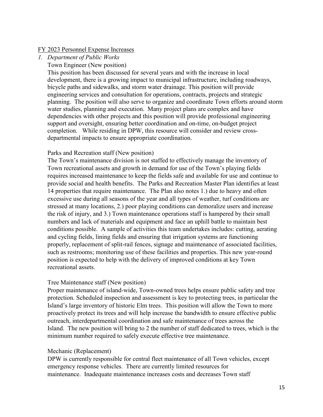#### FY 2023 Personnel Expense Increases

- *1. Department of Public Works* 
	- Town Engineer (New position)

This position has been discussed for several years and with the increase in local development, there is a growing impact to municipal infrastructure, including roadways, bicycle paths and sidewalks, and storm water drainage. This position will provide engineering services and consultation for operations, contracts, projects and strategic planning. The position will also serve to organize and coordinate Town efforts around storm water studies, planning and execution. Many project plans are complex and have dependencies with other projects and this position will provide professional engineering support and oversight, ensuring better coordination and on-time, on-budget project completion. While residing in DPW, this resource will consider and review crossdepartmental impacts to ensure appropriate coordination.

#### Parks and Recreation staff (New position)

The Town's maintenance division is not staffed to effectively manage the inventory of Town recreational assets and growth in demand for use of the Town's playing fields requires increased maintenance to keep the fields safe and available for use and continue to provide social and health benefits. The Parks and Recreation Master Plan identifies at least 14 properties that require maintenance. The Plan also notes 1.) due to heavy and often excessive use during all seasons of the year and all types of weather, turf conditions are stressed at many locations, 2.) poor playing conditions can demoralize users and increase the risk of injury, and 3.) Town maintenance operations staff is hampered by their small numbers and lack of materials and equipment and face an uphill battle to maintain best conditions possible. A sample of activities this team undertakes includes: cutting, aerating and cycling fields, lining fields and ensuring that irrigation systems are functioning properly, replacement of split-rail fences, signage and maintenance of associated facilities, such as restrooms; monitoring use of these facilities and properties. This new year-round position is expected to help with the delivery of improved conditions at key Town recreational assets.

#### Tree Maintenance staff (New position)

Proper maintenance of island-wide, Town-owned trees helps ensure public safety and tree protection. Scheduled inspection and assessment is key to protecting trees, in particular the Island's large inventory of historic Elm trees. This position will allow the Town to more proactively protect its trees and will help increase the bandwidth to ensure effective public outreach, interdepartmental coordination and safe maintenance of trees across the Island. The new position will bring to 2 the number of staff dedicated to trees, which is the minimum number required to safely execute effective tree maintenance.

#### Mechanic (Replacement)

DPW is currently responsible for central fleet maintenance of all Town vehicles, except emergency response vehicles. There are currently limited resources for maintenance. Inadequate maintenance increases costs and decreases Town staff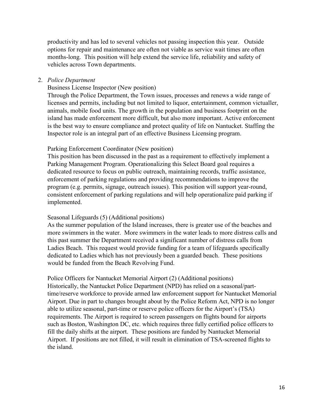productivity and has led to several vehicles not passing inspection this year. Outside options for repair and maintenance are often not viable as service wait times are often months-long. This position will help extend the service life, reliability and safety of vehicles across Town departments.

#### 2. *Police Department*

#### Business License Inspector (New position)

Through the Police Department, the Town issues, processes and renews a wide range of licenses and permits, including but not limited to liquor, entertainment, common victualler, animals, mobile food units. The growth in the population and business footprint on the island has made enforcement more difficult, but also more important. Active enforcement is the best way to ensure compliance and protect quality of life on Nantucket. Staffing the Inspector role is an integral part of an effective Business Licensing program.

#### Parking Enforcement Coordinator (New position)

This position has been discussed in the past as a requirement to effectively implement a Parking Management Program. Operationalizing this Select Board goal requires a dedicated resource to focus on public outreach, maintaining records, traffic assistance, enforcement of parking regulations and providing recommendations to improve the program (e.g. permits, signage, outreach issues). This position will support year-round, consistent enforcement of parking regulations and will help operationalize paid parking if implemented.

#### Seasonal Lifeguards (5) (Additional positions)

As the summer population of the Island increases, there is greater use of the beaches and more swimmers in the water. More swimmers in the water leads to more distress calls and this past summer the Department received a significant number of distress calls from Ladies Beach. This request would provide funding for a team of lifeguards specifically dedicated to Ladies which has not previously been a guarded beach. These positions would be funded from the Beach Revolving Fund.

Police Officers for Nantucket Memorial Airport (2) (Additional positions) Historically, the Nantucket Police Department (NPD) has relied on a seasonal/parttime/reserve workforce to provide armed law enforcement support for Nantucket Memorial Airport. Due in part to changes brought about by the Police Reform Act, NPD is no longer able to utilize seasonal, part-time or reserve police officers for the Airport's (TSA) requirements. The Airport is required to screen passengers on flights bound for airports such as Boston, Washington DC, etc. which requires three fully certified police officers to fill the daily shifts at the airport. These positions are funded by Nantucket Memorial Airport. If positions are not filled, it will result in elimination of TSA-screened flights to the island.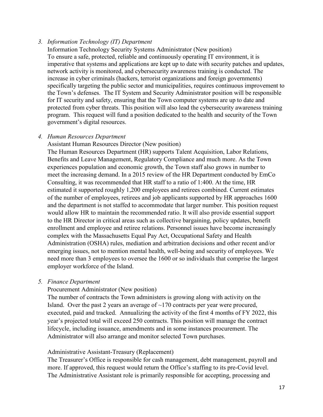## *3. Information Technology (IT) Department*

Information Technology Security Systems Administrator (New position) To ensure a safe, protected, reliable and continuously operating IT environment, it is imperative that systems and applications are kept up to date with security patches and updates, network activity is monitored, and cybersecurity awareness training is conducted. The increase in cyber criminals (hackers, terrorist organizations and foreign governments) specifically targeting the public sector and municipalities, requires continuous improvement to the Town's defenses. The IT System and Security Administrator position will be responsible for IT security and safety, ensuring that the Town computer systems are up to date and protected from cyber threats. This position will also lead the cybersecurity awareness training program. This request will fund a position dedicated to the health and security of the Town government's digital resources.

## *4. Human Resources Department*

Assistant Human Resources Director (New position)

The Human Resources Department (HR) supports Talent Acquisition, Labor Relations, Benefits and Leave Management, Regulatory Compliance and much more. As the Town experiences population and economic growth, the Town staff also grows in number to meet the increasing demand. In a 2015 review of the HR Department conducted by EmCo Consulting, it was recommended that HR staff to a ratio of 1:400. At the time, HR estimated it supported roughly 1,200 employees and retirees combined. Current estimates of the number of employees, retirees and job applicants supported by HR approaches 1600 and the department is not staffed to accommodate that larger number. This position request would allow HR to maintain the recommended ratio. It will also provide essential support to the HR Director in critical areas such as collective bargaining, policy updates, benefit enrollment and employee and retiree relations. Personnel issues have become increasingly complex with the Massachusetts Equal Pay Act, Occupational Safety and Health Administration (OSHA) rules, mediation and arbitration decisions and other recent and/or emerging issues, not to mention mental health, well-being and security of employees. We need more than 3 employees to oversee the 1600 or so individuals that comprise the largest employer workforce of the Island.

#### *5. Finance Department*

## Procurement Administrator (New position)

The number of contracts the Town administers is growing along with activity on the Island. Over the past 2 years an average of  $\sim$ 170 contracts per year were procured, executed, paid and tracked. Annualizing the activity of the first 4 months of FY 2022, this year's projected total will exceed 250 contracts. This position will manage the contract lifecycle, including issuance, amendments and in some instances procurement. The Administrator will also arrange and monitor selected Town purchases.

## Administrative Assistant-Treasury (Replacement)

The Treasurer's Office is responsible for cash management, debt management, payroll and more. If approved, this request would return the Office's staffing to its pre-Covid level. The Administrative Assistant role is primarily responsible for accepting, processing and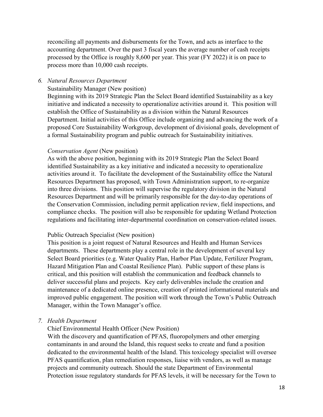reconciling all payments and disbursements for the Town, and acts as interface to the accounting department. Over the past 3 fiscal years the average number of cash receipts processed by the Office is roughly 8,600 per year. This year (FY 2022) it is on pace to process more than 10,000 cash receipts.

#### *6. Natural Resources Department*

#### Sustainability Manager (New position)

Beginning with its 2019 Strategic Plan the Select Board identified Sustainability as a key initiative and indicated a necessity to operationalize activities around it. This position will establish the Office of Sustainability as a division within the Natural Resources Department. Initial activities of this Office include organizing and advancing the work of a proposed Core Sustainability Workgroup, development of divisional goals, development of a formal Sustainability program and public outreach for Sustainability initiatives.

#### *Conservation Agent* (New position)

As with the above position, beginning with its 2019 Strategic Plan the Select Board identified Sustainability as a key initiative and indicated a necessity to operationalize activities around it. To facilitate the development of the Sustainability office the Natural Resources Department has proposed, with Town Administration support, to re-organize into three divisions. This position will supervise the regulatory division in the Natural Resources Department and will be primarily responsible for the day-to-day operations of the Conservation Commission, including permit application review, field inspections, and compliance checks. The position will also be responsible for updating Wetland Protection regulations and facilitating inter-departmental coordination on conservation-related issues.

#### Public Outreach Specialist (New position)

This position is a joint request of Natural Resources and Health and Human Services departments. These departments play a central role in the development of several key Select Board priorities (e.g. Water Quality Plan, Harbor Plan Update, Fertilizer Program, Hazard Mitigation Plan and Coastal Resilience Plan). Public support of these plans is critical, and this position will establish the communication and feedback channels to deliver successful plans and projects. Key early deliverables include the creation and maintenance of a dedicated online presence, creation of printed informational materials and improved public engagement. The position will work through the Town's Public Outreach Manager, within the Town Manager's office.

#### *7. Health Department*

Chief Environmental Health Officer (New Position)

With the discovery and quantification of PFAS, fluoropolymers and other emerging contaminants in and around the Island, this request seeks to create and fund a position dedicated to the environmental health of the Island. This toxicology specialist will oversee PFAS quantification, plan remediation responses, liaise with vendors, as well as manage projects and community outreach. Should the state Department of Environmental Protection issue regulatory standards for PFAS levels, it will be necessary for the Town to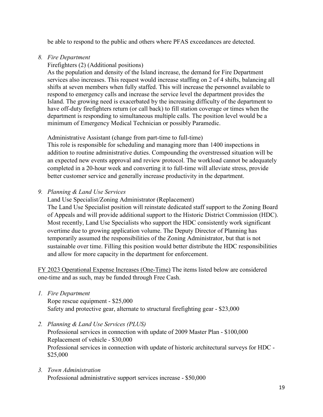be able to respond to the public and others where PFAS exceedances are detected.

*8. Fire Department*

## Firefighters (2) (Additional positions)

As the population and density of the Island increase, the demand for Fire Department services also increases. This request would increase staffing on 2 of 4 shifts, balancing all shifts at seven members when fully staffed. This will increase the personnel available to respond to emergency calls and increase the service level the department provides the Island. The growing need is exacerbated by the increasing difficulty of the department to have off-duty firefighters return (or call back) to fill station coverage or times when the department is responding to simultaneous multiple calls. The position level would be a minimum of Emergency Medical Technician or possibly Paramedic.

Administrative Assistant (change from part-time to full-time)

This role is responsible for scheduling and managing more than 1400 inspections in addition to routine administrative duties. Compounding the overstressed situation will be an expected new events approval and review protocol. The workload cannot be adequately completed in a 20-hour week and converting it to full-time will alleviate stress, provide better customer service and generally increase productivity in the department.

## *9. Planning & Land Use Services*

Land Use Specialist/Zoning Administrator (Replacement)

The Land Use Specialist position will reinstate dedicated staff support to the Zoning Board of Appeals and will provide additional support to the Historic District Commission (HDC). Most recently, Land Use Specialists who support the HDC consistently work significant overtime due to growing application volume. The Deputy Director of Planning has temporarily assumed the responsibilities of the Zoning Administrator, but that is not sustainable over time. Filling this position would better distribute the HDC responsibilities and allow for more capacity in the department for enforcement.

FY 2023 Operational Expense Increases (One-Time) The items listed below are considered one-time and as such, may be funded through Free Cash.

*1. Fire Department*

Rope rescue equipment - \$25,000 Safety and protective gear, alternate to structural firefighting gear - \$23,000

*2. Planning & Land Use Services (PLUS)*

Professional services in connection with update of 2009 Master Plan - \$100,000 Replacement of vehicle - \$30,000 Professional services in connection with update of historic architectural surveys for HDC - \$25,000

*3. Town Administration* Professional administrative support services increase - \$50,000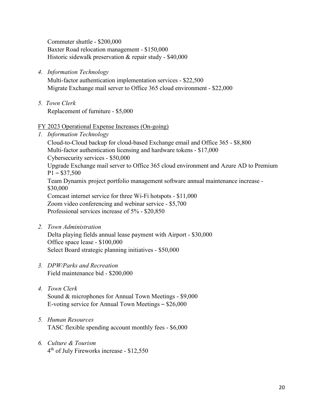Commuter shuttle - \$200,000 Baxter Road relocation management - \$150,000 Historic sidewalk preservation & repair study - \$40,000

*4. Information Technology*

Multi-factor authentication implementation services - \$22,500 Migrate Exchange mail server to Office 365 cloud environment - \$22,000

*5. Town Clerk* Replacement of furniture - \$5,000

#### FY 2023 Operational Expense Increases (On-going)

*1. Information Technology*

Cloud-to-Cloud backup for cloud-based Exchange email and Office 365 - \$8,800 Multi-factor authentication licensing and hardware tokens - \$17,000 Cybersecurity services - \$50,000 Upgrade Exchange mail server to Office 365 cloud environment and Azure AD to Premium  $P1 - $37,500$ Team Dynamix project portfolio management software annual maintenance increase - \$30,000 Comcast internet service for three Wi-Fi hotspots - \$11,000 Zoom video conferencing and webinar service - \$5,700 Professional services increase of 5% - \$20,850

*2. Town Administration*

Delta playing fields annual lease payment with Airport - \$30,000 Office space lease - \$100,000 Select Board strategic planning initiatives - \$50,000

- *3. DPW/Parks and Recreation* Field maintenance bid - \$200,000
- *4. Town Clerk* Sound & microphones for Annual Town Meetings - \$9,000 E-voting service for Annual Town Meetings – \$26,000
- *5. Human Resources* TASC flexible spending account monthly fees - \$6,000
- *6. Culture & Tourism* 4th of July Fireworks increase - \$12,550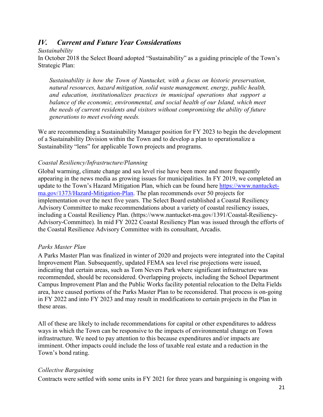## *IV. Current and Future Year Considerations*

#### *Sustainability*

In October 2018 the Select Board adopted "Sustainability" as a guiding principle of the Town's Strategic Plan:

*Sustainability is how the Town of Nantucket, with a focus on historic preservation, natural resources, hazard mitigation, solid waste management, energy, public health, and education, institutionalizes practices in municipal operations that support a balance of the economic, environmental, and social health of our Island, which meet the needs of current residents and visitors without compromising the ability of future generations to meet evolving needs.*

We are recommending a Sustainability Manager position for FY 2023 to begin the development of a Sustainability Division within the Town and to develop a plan to operationalize a Sustainability "lens" for applicable Town projects and programs.

## *Coastal Resiliency/Infrastructure/Planning*

Global warming, climate change and sea level rise have been more and more frequently appearing in the news media as growing issues for municipalities. In FY 2019, we completed an update to the Town's Hazard Mitigation Plan, which can be found here [https://www.nantucket](https://www.nantucket-ma.gov/1373/Hazard-Mitigation-Plan)[ma.gov/1373/Hazard-Mitigation-Plan.](https://www.nantucket-ma.gov/1373/Hazard-Mitigation-Plan) The plan recommends over 50 projects for implementation over the next five years. The Select Board established a Coastal Resiliency Advisory Committee to make recommendations about a variety of coastal resiliency issues, including a Coastal Resiliency Plan. (https://www.nantucket-ma.gov/1391/Coastal-Resiliency-Advisory-Committee). In mid FY 2022 Coastal Resiliency Plan was issued through the efforts of the Coastal Resilience Advisory Committee with its consultant, Arcadis.

## *Parks Master Plan*

A Parks Master Plan was finalized in winter of 2020 and projects were integrated into the Capital Improvement Plan. Subsequently, updated FEMA sea level rise projections were issued, indicating that certain areas, such as Tom Nevers Park where significant infrastructure was recommended, should be reconsidered. Overlapping projects, including the School Department Campus Improvement Plan and the Public Works facility potential relocation to the Delta Fields area, have caused portions of the Parks Master Plan to be reconsidered. That process is on-going in FY 2022 and into FY 2023 and may result in modifications to certain projects in the Plan in these areas.

All of these are likely to include recommendations for capital or other expenditures to address ways in which the Town can be responsive to the impacts of environmental change on Town infrastructure. We need to pay attention to this because expenditures and/or impacts are imminent. Other impacts could include the loss of taxable real estate and a reduction in the Town's bond rating.

#### *Collective Bargaining*

Contracts were settled with some units in FY 2021 for three years and bargaining is ongoing with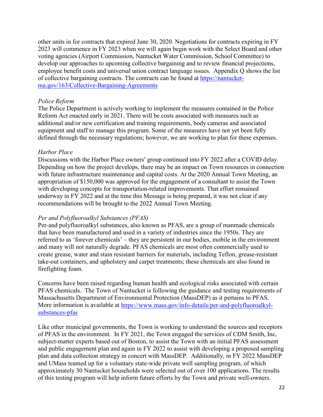other units in for contracts that expired June 30, 2020. Negotiations for contracts expiring in FY 2023 will commence in FY 2023 when we will again begin work with the Select Board and other voting agencies (Airport Commission, Nantucket Water Commission, School Committee) to develop our approaches to upcoming collective bargaining and to review financial projections, employee benefit costs and universal union contract language issues. Appendix Q shows the list of collective bargaining contracts. The contracts can be found at [https://nantucket](https://nantucket-ma.gov/163/Collective-Bargaining-Agreements)[ma.gov/163/Collective-Bargaining-Agreements](https://nantucket-ma.gov/163/Collective-Bargaining-Agreements)

#### *Police Reform*

The Police Department is actively working to implement the measures contained in the Police Reform Act enacted early in 2021. There will be costs associated with measures such as additional and/or new certification and training requirements, body cameras and associated equipment and staff to manage this program. Some of the measures have not yet been fully defined through the necessary regulations; however, we are working to plan for these expenses.

## *Harbor Place*

Discussions with the Harbor Place owners' group continued into FY 2022 after a COVID delay. Depending on how the project develops, there may be an impact on Town resources in connection with future infrastructure maintenance and capital costs. At the 2020 Annual Town Meeting, an appropriation of \$150,000 was approved for the engagement of a consultant to assist the Town with developing concepts for transportation-related improvements. That effort remained underway in FY 2022 and at the time this Message is being prepared, it was not clear if any recommendations will be brought to the 2022 Annual Town Meeting.

#### *Per and Polyfluoroalkyl Substances (PFAS)*

Per-and polyfluoroalkyl substances, also known as PFAS, are a group of manmade chemicals that have been manufactured and used in a variety of industries since the 1950s. They are referred to as 'forever chemicals' – they are persistent in our bodies, mobile in the environment and many will not naturally degrade. PFAS chemicals are most often commercially used to create grease, water and stain resistant barriers for materials, including Teflon, grease-resistant take-out containers, and upholstery and carpet treatments; these chemicals are also found in firefighting foam.

Concerns have been raised regarding human health and ecological risks associated with certain PFAS chemicals. The Town of Nantucket is following the guidance and testing requirements of Massachusetts Department of Environmental Protection (MassDEP) as it pertains to PFAS. More information is available at [https://www.mass.gov/info-details/per-and-polyfluoroalkyl](https://www.mass.gov/info-details/per-and-polyfluoroalkyl-substances-pfas)[substances-pfas](https://www.mass.gov/info-details/per-and-polyfluoroalkyl-substances-pfas) 

Like other municipal governments, the Town is working to understand the sources and receptors of PFAS in the environment. In FY 2021, the Town engaged the services of CDM Smith, Inc, subject-matter experts based out of Boston, to assist the Town with an initial PFAS assessment and public engagement plan and again in FY 2022 to assist with developing a proposed sampling plan and data collection strategy in concert with MassDEP. Additionally, in FY 2022 MassDEP and UMass teamed up for a voluntary state-wide private well sampling program, of which approximately 30 Nantucket households were selected out of over 100 applications. The results of this testing program will help inform future efforts by the Town and private well-owners.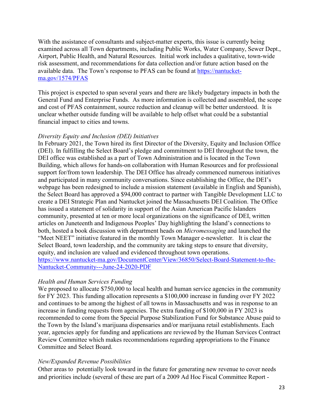With the assistance of consultants and subject-matter experts, this issue is currently being examined across all Town departments, including Public Works, Water Company, Sewer Dept., Airport, Public Health, and Natural Resources. Initial work includes a qualitative, town-wide risk assessment, and recommendations for data collection and/or future action based on the available data. The Town's response to PFAS can be found at [https://nantucket](https://nantucket-ma.gov/1574/PFAS)[ma.gov/1574/PFAS](https://nantucket-ma.gov/1574/PFAS)

This project is expected to span several years and there are likely budgetary impacts in both the General Fund and Enterprise Funds. As more information is collected and assembled, the scope and cost of PFAS containment, source reduction and cleanup will be better understood. It is unclear whether outside funding will be available to help offset what could be a substantial financial impact to cities and towns.

## *Diversity Equity and Inclusion (DEI) Initiatives*

In February 2021, the Town hired its first Director of the Diversity, Equity and Inclusion Office (DEI). In fulfilling the Select Board's pledge and commitment to DEI throughout the town, the DEI office was established as a part of Town Administration and is located in the Town Building, which allows for hands-on collaboration with Human Resources and for professional support for/from town leadership. The DEI Office has already commenced numerous initiatives and participated in many community conversations. Since establishing the Office, the DEI's webpage has been redesigned to include a mission statement (available in English and Spanish), the Select Board has approved a \$94,000 contract to partner with Tangible Development LLC to create a DEI Strategic Plan and Nantucket joined the Massachusetts DEI Coalition. The Office has issued a statement of solidarity in support of the Asian American Pacific Islanders community, presented at ten or more local organizations on the significance of DEI, written articles on Juneteenth and Indigenous Peoples' Day highlighting the Island's connections to both, hosted a book discussion with department heads on *Micromessaging* and launched the "Meet NEET" initiative featured in the monthly Town Manager e-newsletter. It is clear the Select Board, town leadership, and the community are taking steps to ensure that diversity, equity, and inclusion are valued and evidenced throughout town operations. [https://www.nantucket-ma.gov/DocumentCenter/View/36850/Select-Board-Statement-to-the-](https://www.nantucket-ma.gov/DocumentCenter/View/36850/Select-Board-Statement-to-the-Nantucket-Community---June-24-2020-PDF)[Nantucket-Community---June-24-2020-PDF](https://www.nantucket-ma.gov/DocumentCenter/View/36850/Select-Board-Statement-to-the-Nantucket-Community---June-24-2020-PDF)

## *Health and Human Services Funding*

We proposed to allocate \$750,000 to local health and human service agencies in the community for FY 2023. This funding allocation represents a \$100,000 increase in funding over FY 2022 and continues to be among the highest of all towns in Massachusetts and was in response to an increase in funding requests from agencies. The extra funding of \$100,000 in FY 2023 is recommended to come from the Special Purpose Stabilization Fund for Substance Abuse paid to the Town by the Island's marijuana dispensaries and/or marijuana retail establishments. Each year, agencies apply for funding and applications are reviewed by the Human Services Contract Review Committee which makes recommendations regarding appropriations to the Finance Committee and Select Board.

## *New/Expanded Revenue Possibilities*

Other areas to potentially look toward in the future for generating new revenue to cover needs and priorities include (several of these are part of a 2009 Ad Hoc Fiscal Committee Report -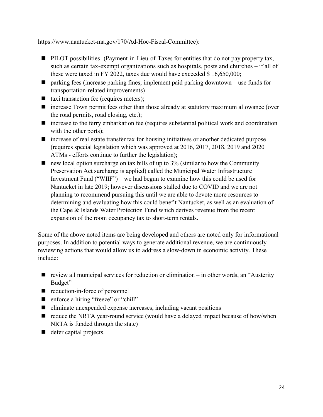https://www.nantucket-ma.gov/170/Ad-Hoc-Fiscal-Committee):

- **PILOT** possibilities (Payment-in-Lieu-of-Taxes for entities that do not pay property tax, such as certain tax-exempt organizations such as hospitals, posts and churches – if all of these were taxed in FY 2022, taxes due would have exceeded \$ 16,650,000;
- $\blacksquare$  parking fees (increase parking fines; implement paid parking downtown use funds for transportation-related improvements)
- $\blacksquare$  taxi transaction fee (requires meters);
- increase Town permit fees other than those already at statutory maximum allowance (over the road permits, road closing, etc.);
- $\blacksquare$  increase to the ferry embarkation fee (requires substantial political work and coordination with the other ports);
- increase of real estate transfer tax for housing initiatives or another dedicated purpose (requires special legislation which was approved at 2016, 2017, 2018, 2019 and 2020 ATMs - efforts continue to further the legislation);
- $\blacksquare$  new local option surcharge on tax bills of up to 3% (similar to how the Community Preservation Act surcharge is applied) called the Municipal Water Infrastructure Investment Fund ("WIIF") – we had begun to examine how this could be used for Nantucket in late 2019; however discussions stalled due to COVID and we are not planning to recommend pursuing this until we are able to devote more resources to determining and evaluating how this could benefit Nantucket, as well as an evaluation of the Cape & Islands Water Protection Fund which derives revenue from the recent expansion of the room occupancy tax to short-term rentals.

Some of the above noted items are being developed and others are noted only for informational purposes. In addition to potential ways to generate additional revenue, we are continuously reviewing actions that would allow us to address a slow-down in economic activity. These include:

- $\blacksquare$  review all municipal services for reduction or elimination in other words, an "Austerity" Budget"
- enduction-in-force of personnel
- enforce a hiring "freeze" or "chill"
- $\blacksquare$  eliminate unexpended expense increases, including vacant positions
- $\blacksquare$  reduce the NRTA year-round service (would have a delayed impact because of how/when NRTA is funded through the state)
- defer capital projects.